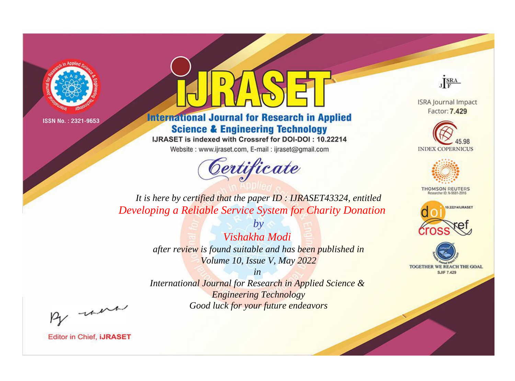



**International Journal for Research in Applied Science & Engineering Technology** 

IJRASET is indexed with Crossref for DOI-DOI: 10.22214

Website: www.ijraset.com, E-mail: ijraset@gmail.com



JERA

**ISRA Journal Impact** Factor: 7.429





**THOMSON REUTERS** 



TOGETHER WE REACH THE GOAL **SJIF 7.429** 

*It is here by certified that the paper ID : IJRASET43324, entitled Developing a Reliable Service System for Charity Donation*

> *Vishakha Modi after review is found suitable and has been published in Volume 10, Issue V, May 2022*

*by*

*in* 

*International Journal for Research in Applied Science & Engineering Technology Good luck for your future endeavors*

By morn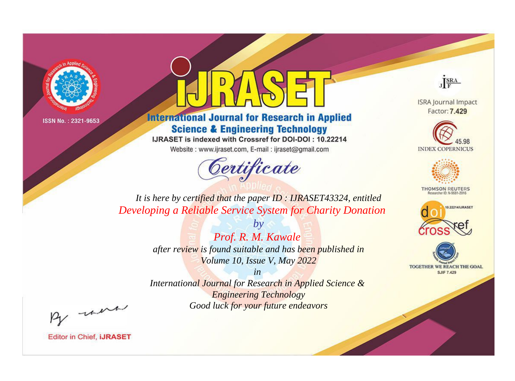



**International Journal for Research in Applied Science & Engineering Technology** 

IJRASET is indexed with Crossref for DOI-DOI: 10.22214

Website: www.ijraset.com, E-mail: ijraset@gmail.com



JERA

**ISRA Journal Impact** Factor: 7.429





**THOMSON REUTERS** 



TOGETHER WE REACH THE GOAL **SJIF 7.429** 

*It is here by certified that the paper ID : IJRASET43324, entitled Developing a Reliable Service System for Charity Donation*

> *by Prof. R. M. Kawale after review is found suitable and has been published in Volume 10, Issue V, May 2022*

> > *in*

*International Journal for Research in Applied Science & Engineering Technology Good luck for your future endeavors*

By morn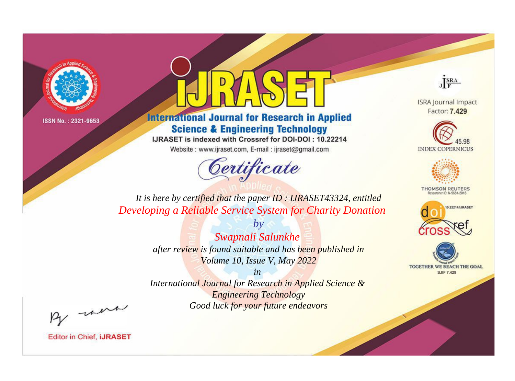

## **International Journal for Research in Applied Science & Engineering Technology**

IJRASET is indexed with Crossref for DOI-DOI: 10.22214

Website: www.ijraset.com, E-mail: ijraset@gmail.com

## Certificate



**ISRA Journal Impact** Factor: 7.429





**THOMSON REUTERS** 



TOGETHER WE REACH THE GOAL **SJIF 7.429** 

It is here by certified that the paper ID: IJRASET43324, entitled Developing a Reliable Service System for Charity Donation

> $b\nu$ Swapnali Salunkhe after review is found suitable and has been published in Volume 10, Issue V, May 2022

 $in$ International Journal for Research in Applied Science & **Engineering Technology** Good luck for your future endeavors

By morn